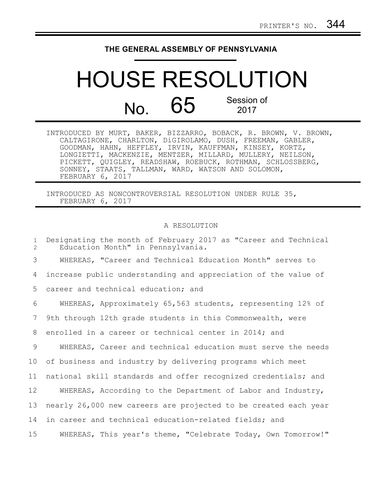## **THE GENERAL ASSEMBLY OF PENNSYLVANIA**

## HOUSE RESOLUTION  $N<sub>0</sub>$  65 Session of 2017

| INTRODUCED BY MURT, BAKER, BIZZARRO, BOBACK, R. BROWN, V. BROWN, |
|------------------------------------------------------------------|
| CALTAGIRONE, CHARLTON, DiGIROLAMO, DUSH, FREEMAN, GABLER,        |
| GOODMAN, HAHN, HEFFLEY, IRVIN, KAUFFMAN, KINSEY, KORTZ,          |
| LONGIETTI, MACKENZIE, MENTZER, MILLARD, MULLERY, NEILSON,        |
| PICKETT, QUIGLEY, READSHAW, ROEBUCK, ROTHMAN, SCHLOSSBERG,       |
| SONNEY, STAATS, TALLMAN, WARD, WATSON AND SOLOMON,               |
| FEBRUARY 6, 2017                                                 |

INTRODUCED AS NONCONTROVERSIAL RESOLUTION UNDER RULE 35, FEBRUARY 6, 2017

## A RESOLUTION

Designating the month of February 2017 as "Career and Technical Education Month" in Pennsylvania. WHEREAS, "Career and Technical Education Month" serves to increase public understanding and appreciation of the value of career and technical education; and WHEREAS, Approximately 65,563 students, representing 12% of 9th through 12th grade students in this Commonwealth, were enrolled in a career or technical center in 2014; and WHEREAS, Career and technical education must serve the needs of business and industry by delivering programs which meet national skill standards and offer recognized credentials; and WHEREAS, According to the Department of Labor and Industry, nearly 26,000 new careers are projected to be created each year in career and technical education-related fields; and WHEREAS, This year's theme, "Celebrate Today, Own Tomorrow!" 1  $\mathcal{D}$ 3 4 5 6 7 8 9 10 11 12 13 14 15